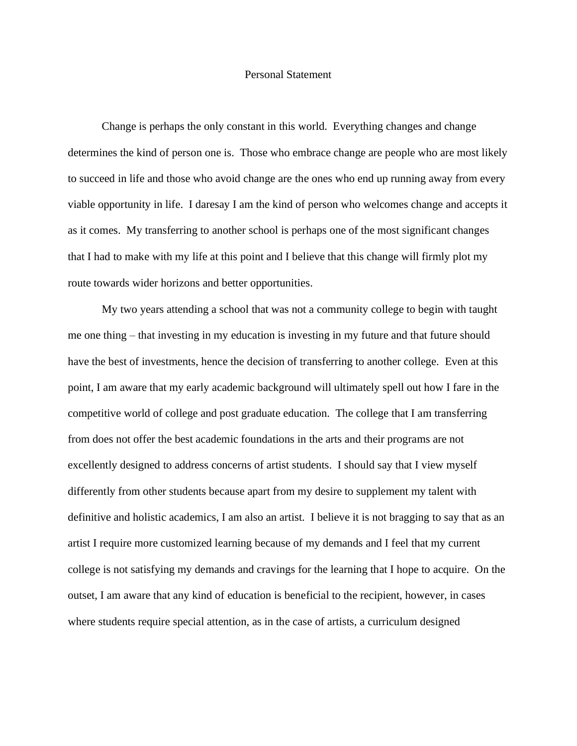## Personal Statement

Change is perhaps the only constant in this world. Everything changes and change determines the kind of person one is. Those who embrace change are people who are most likely to succeed in life and those who avoid change are the ones who end up running away from every viable opportunity in life. I daresay I am the kind of person who welcomes change and accepts it as it comes. My transferring to another school is perhaps one of the most significant changes that I had to make with my life at this point and I believe that this change will firmly plot my route towards wider horizons and better opportunities.

My two years attending a school that was not a community college to begin with taught me one thing – that investing in my education is investing in my future and that future should have the best of investments, hence the decision of transferring to another college. Even at this point, I am aware that my early academic background will ultimately spell out how I fare in the competitive world of college and post graduate education. The college that I am transferring from does not offer the best academic foundations in the arts and their programs are not excellently designed to address concerns of artist students. I should say that I view myself differently from other students because apart from my desire to supplement my talent with definitive and holistic academics, I am also an artist. I believe it is not bragging to say that as an artist I require more customized learning because of my demands and I feel that my current college is not satisfying my demands and cravings for the learning that I hope to acquire. On the outset, I am aware that any kind of education is beneficial to the recipient, however, in cases where students require special attention, as in the case of artists, a curriculum designed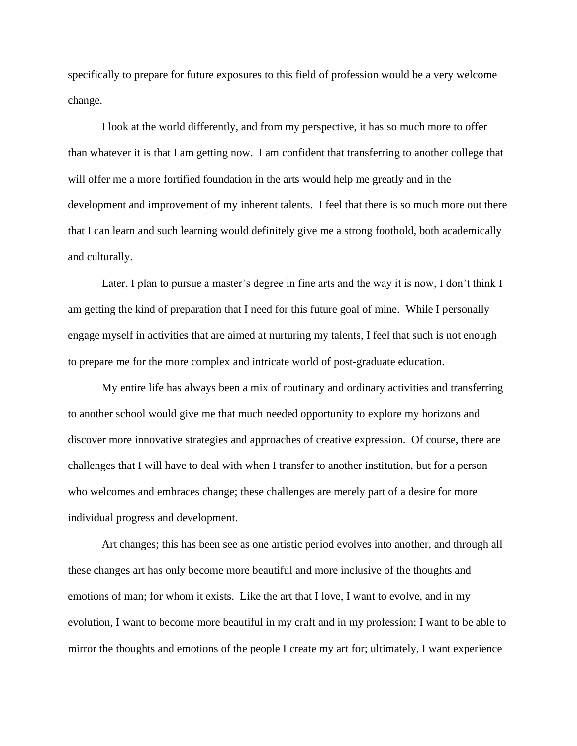specifically to prepare for future exposures to this field of profession would be a very welcome change.

I look at the world differently, and from my perspective, it has so much more to offer than whatever it is that I am getting now. I am confident that transferring to another college that will offer me a more fortified foundation in the arts would help me greatly and in the development and improvement of my inherent talents. I feel that there is so much more out there that I can learn and such learning would definitely give me a strong foothold, both academically and culturally.

Later, I plan to pursue a master's degree in fine arts and the way it is now, I don't think I am getting the kind of preparation that I need for this future goal of mine. While I personally engage myself in activities that are aimed at nurturing my talents, I feel that such is not enough to prepare me for the more complex and intricate world of post-graduate education.

My entire life has always been a mix of routinary and ordinary activities and transferring to another school would give me that much needed opportunity to explore my horizons and discover more innovative strategies and approaches of creative expression. Of course, there are challenges that I will have to deal with when I transfer to another institution, but for a person who welcomes and embraces change; these challenges are merely part of a desire for more individual progress and development.

Art changes; this has been see as one artistic period evolves into another, and through all these changes art has only become more beautiful and more inclusive of the thoughts and emotions of man; for whom it exists. Like the art that I love, I want to evolve, and in my evolution, I want to become more beautiful in my craft and in my profession; I want to be able to mirror the thoughts and emotions of the people I create my art for; ultimately, I want experience